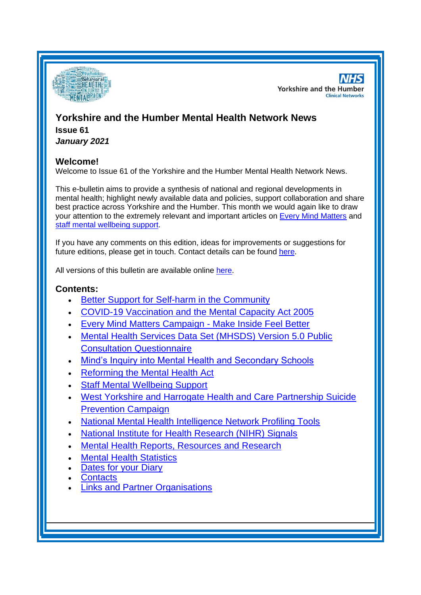

**NHS Yorkshire and the Humber Clinical Networks** 

# **Yorkshire and the Humber Mental Health Network News Issue 61**

*January 2021*

# **Welcome!**

Welcome to Issue 61 of the Yorkshire and the Humber Mental Health Network News.

This e-bulletin aims to provide a synthesis of national and regional developments in mental health; highlight newly available data and policies, support collaboration and share best practice across Yorkshire and the Humber. This month we would again like to draw your attention to the extremely relevant and important articles on [Every Mind Matters](#page-1-0) and [staff mental wellbeing support.](#page-0-0)

If you have any comments on this edition, ideas for improvements or suggestions for future editions, please get in touch. Contact details can be found [here.](#page-5-0)

All versions of this bulletin are available online [here.](http://www.yhscn.nhs.uk/mental-health-clinic/mental-health-network/MH-documents-and-links.php)

# **Contents:**

- [Better Support for Self-harm in the Community](#page-0-0)
- [COVID-19 Vaccination and the Mental Capacity Act 2005](#page-1-1)
- [Every Mind Matters Campaign -](#page-1-0) Make Inside Feel Better
- [Mental Health Services Data Set \(MHSDS\) Version 5.0 Public](#page-1-2)  [Consultation Questionnaire](#page-1-2)
- [Mind's Inquiry into Mental Health and Secondary Schools](#page-2-0)
- [Reforming the Mental Health Act](#page-2-1)
- [Staff Mental Wellbeing Support](#page-0-0)
- [West Yorkshire and Harrogate Health and Care Partnership Suicide](#page-3-0)  [Prevention Campaign](#page-3-0)
- National Mental Health Intelligence Network Profiling Tools
- [National Institute for Health Research \(NIHR\) Signals](#page-3-1)
- [Mental Health Reports, Resources and](#page-3-2) Research
- **[Mental Health Statistics](#page-4-0)**
- [Dates for your Diary](#page-4-1)
- **[Contacts](#page-5-0)**
- <span id="page-0-0"></span>• Links and [Partner Organisations](#page-5-1)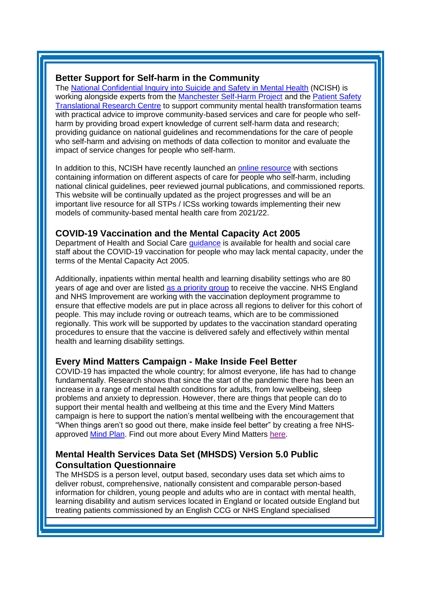#### **Better Support for Self-harm in the Community**

The [National Confidential Inquiry into Suicide and Safety in Mental Health](https://mhlda.cmail20.com/t/d-l-cuyhikk-tlljkuijii-h/) (NCISH) is working alongside experts from the [Manchester Self-Harm Project](https://mhlda.cmail20.com/t/d-l-cuyhikk-tlljkuijii-k/) and the [Patient Safety](https://mhlda.cmail20.com/t/d-l-cuyhikk-tlljkuijii-u/)  [Translational Research Centre](https://mhlda.cmail20.com/t/d-l-cuyhikk-tlljkuijii-u/) to support community mental health transformation teams with practical advice to improve community-based services and care for people who selfharm by providing broad expert knowledge of current self-harm data and research; providing guidance on national guidelines and recommendations for the care of people who self-harm and advising on methods of data collection to monitor and evaluate the impact of service changes for people who self-harm.

In addition to this, NCISH have recently launched an [online resource](https://mhlda.cmail20.com/t/d-l-cuyhikk-tlljkuijii-o/) with sections containing information on different aspects of care for people who self-harm, including national clinical guidelines, peer reviewed journal publications, and commissioned reports. This website will be continually updated as the project progresses and will be an important live resource for all STPs / ICSs working towards implementing their new models of community-based mental health care from 2021/22.

### <span id="page-1-1"></span>**COVID-19 Vaccination and the Mental Capacity Act 2005**

Department of Health and Social Care **[guidance](https://www.gov.uk/government/publications/coronavirus-covid-19-looking-after-people-who-lack-mental-capacity/the-mental-capacity-act-2005-mca-and-deprivation-of-liberty-safeguards-dols-during-the-coronavirus-covid-19-pandemic-additional-guidancea)** is available for health and social care staff about the COVID-19 vaccination for people who may lack mental capacity, under the terms of the Mental Capacity Act 2005.

Additionally, inpatients within mental health and learning disability settings who are 80 years of age and over are listed [as a priority](https://www.gov.uk/government/publications/priority-groups-for-coronavirus-covid-19-vaccination-advice-from-the-jcvi-30-december-2020) group to receive the vaccine. NHS England and NHS Improvement are working with the vaccination deployment programme to ensure that effective models are put in place across all regions to deliver for this cohort of people. This may include roving or outreach teams, which are to be commissioned regionally. This work will be supported by updates to the vaccination standard operating procedures to ensure that the vaccine is delivered safely and effectively within mental health and learning disability settings.

#### <span id="page-1-0"></span>**Every Mind Matters Campaign - Make Inside Feel Better**

COVID-19 has impacted the whole country; for almost everyone, life has had to change fundamentally. Research shows that since the start of the pandemic there has been an increase in a range of mental health conditions for adults, from low wellbeing, sleep problems and anxiety to depression. However, there are things that people can do to support their mental health and wellbeing at this time and the Every Mind Matters campaign is here to support the nation's mental wellbeing with the encouragement that "When things aren't so good out there, make inside feel better" by creating a free NHS-approved [Mind Plan.](https://www.nhs.uk/oneyou/every-mind-matters/your-mind-plan-quiz/) Find out more about Every Mind Matters [here.](https://www.nhs.uk/oneyou/every-mind-matters)

# <span id="page-1-2"></span>**Mental Health Services Data Set (MHSDS) Version 5.0 Public Consultation Questionnaire**

The MHSDS is a person level, output based, secondary uses data set which aims to deliver robust, comprehensive, nationally consistent and comparable person-based information for children, young people and adults who are in contact with mental health, learning disability and autism services located in England or located outside England but treating patients commissioned by an English CCG or NHS England specialised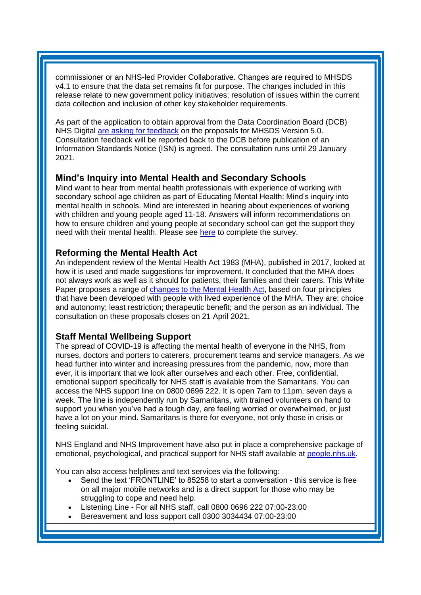commissioner or an NHS-led Provider Collaborative. Changes are required to MHSDS v4.1 to ensure that the data set remains fit for purpose. The changes included in this release relate to new government policy initiatives; resolution of issues within the current data collection and inclusion of other key stakeholder requirements.

As part of the application to obtain approval from the Data Coordination Board (DCB) NHS Digital [are asking for feedback](https://nhs-digital.citizenspace.com/community-and-mental-health/mhsds-v5-public-consultation/?_cldee=c2FyYWguYm91bEBuaHMubmV0&recipientid=contact-01a4f334c235e911a9e5000d3a2bbda1-caf6fb01df3d4a73826459a20251e8b7&esid=f38349ef-ee54-eb11-a812-000d3a874619) on the proposals for MHSDS Version 5.0. Consultation feedback will be reported back to the DCB before publication of an Information Standards Notice (ISN) is agreed. The consultation runs until 29 January 2021.

### <span id="page-2-0"></span>**Mind's Inquiry into Mental Health and Secondary Schools**

Mind want to hear from mental health professionals with experience of working with secondary school age children as part of Educating Mental Health: Mind's inquiry into mental health in schools. Mind are interested in hearing about experiences of working with children and young people aged 11-18. Answers will inform recommendations on how to ensure children and young people at secondary school can get the support they need with their mental health. Please see [here](https://www.mind.org.uk/news-campaigns/campaigns/educating-mental-health-minds-inquiry-into-mental-health-in-schools/) to complete the survey.

### <span id="page-2-1"></span>**Reforming the Mental Health Act**

An independent review of the Mental Health Act 1983 (MHA), published in 2017, looked at how it is used and made suggestions for improvement. It concluded that the MHA does not always work as well as it should for patients, their families and their carers. This White Paper proposes a range of [changes to the Mental Health Act,](https://www.gov.uk/government/consultations/reforming-the-mental-health-act) based on four principles that have been developed with people with lived experience of the MHA. They are: choice and autonomy; least restriction; therapeutic benefit; and the person as an individual. The consultation on these proposals closes on 21 April 2021.

# **Staff Mental Wellbeing Support**

The spread of COVID-19 is affecting the mental health of everyone in the NHS, from nurses, doctors and porters to caterers, procurement teams and service managers. As we head further into winter and increasing pressures from the pandemic, now, more than ever, it is important that we look after ourselves and each other. Free, confidential, emotional support specifically for NHS staff is available from the Samaritans. You can access the NHS support line on 0800 0696 222. It is open 7am to 11pm, seven days a week. The line is independently run by Samaritans, with trained volunteers on hand to support you when you've had a tough day, are feeling worried or overwhelmed, or just have a lot on your mind. Samaritans is there for everyone, not only those in crisis or feeling suicidal.

NHS England and NHS Improvement have also put in place a comprehensive package of emotional, psychological, and practical support for NHS staff available at [people.nhs.uk.](https://people.nhs.uk/)

You can also access helplines and text services via the following:

- Send the text 'FRONTLINE' to 85258 to start a conversation this service is free on all major mobile networks and is a direct support for those who may be struggling to cope and need help.
- Listening Line For all NHS staff, call 0800 0696 222 07:00-23:00
- Bereavement and loss support call 0300 3034434 07:00-23:00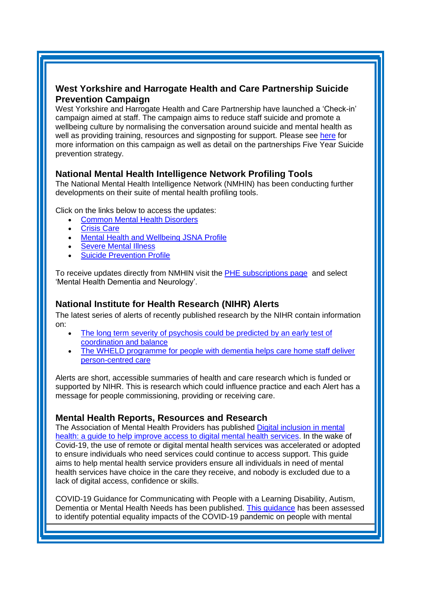# <span id="page-3-0"></span>**West Yorkshire and Harrogate Health and Care Partnership Suicide Prevention Campaign**

West Yorkshire and Harrogate Health and Care Partnership have launched a 'Check-in' campaign aimed at staff. The campaign aims to reduce staff suicide and promote a wellbeing culture by normalising the conversation around suicide and mental health as well as providing training, resources and signposting for support. Please see [here](https://staffcheck-in.co.uk/resources/joinin.pdf) for more information on this campaign as well as detail on the partnerships Five Year Suicide prevention strategy.

# **National Mental Health Intelligence Network Profiling Tools**

The National Mental Health Intelligence Network (NMHIN) has been conducting further developments on their suite of mental health profiling tools.

Click on the links below to access the updates:

- [Common Mental Health Disorders](http://links.govdelivery.com/track?type=click&enid=ZWFzPTEmbXNpZD0mYXVpZD0mbWFpbGluZ2lkPTIwMTcxMjA1LjgxOTE2MDgxJm1lc3NhZ2VpZD1NREItUFJELUJVTC0yMDE3MTIwNS44MTkxNjA4MSZkYXRhYmFzZWlkPTEwMDEmc2VyaWFsPTE2OTcwMTE4JmVtYWlsaWQ9c2FyYWguYm91bEBuaHMubmV0JnVzZXJpZD1zYXJhaC5ib3VsQG5ocy5uZXQmdGFyZ2V0aWQ9JmZsPSZleHRyYT1NdWx0aXZhcmlhdGVJZD0mJiY=&&&104&&&https://fingertips.phe.org.uk/profile-group/mental-health/profile/common-mental-disorders)
- **[Crisis Care](http://links.govdelivery.com/track?type=click&enid=ZWFzPTEmbXNpZD0mYXVpZD0mbWFpbGluZ2lkPTIwMTcxMjA1LjgxOTE2MDgxJm1lc3NhZ2VpZD1NREItUFJELUJVTC0yMDE3MTIwNS44MTkxNjA4MSZkYXRhYmFzZWlkPTEwMDEmc2VyaWFsPTE2OTcwMTE4JmVtYWlsaWQ9c2FyYWguYm91bEBuaHMubmV0JnVzZXJpZD1zYXJhaC5ib3VsQG5ocy5uZXQmdGFyZ2V0aWQ9JmZsPSZleHRyYT1NdWx0aXZhcmlhdGVJZD0mJiY=&&&105&&&https://fingertips.phe.org.uk/profile-group/mental-health/profile/crisis-care)**
- **Mental Health [and Wellbeing JSNA Profile](http://links.govdelivery.com/track?type=click&enid=ZWFzPTEmbXNpZD0mYXVpZD0mbWFpbGluZ2lkPTIwMTcxMjA1LjgxOTE2MDgxJm1lc3NhZ2VpZD1NREItUFJELUJVTC0yMDE3MTIwNS44MTkxNjA4MSZkYXRhYmFzZWlkPTEwMDEmc2VyaWFsPTE2OTcwMTE4JmVtYWlsaWQ9c2FyYWguYm91bEBuaHMubmV0JnVzZXJpZD1zYXJhaC5ib3VsQG5ocy5uZXQmdGFyZ2V0aWQ9JmZsPSZleHRyYT1NdWx0aXZhcmlhdGVJZD0mJiY=&&&106&&&https://fingertips.phe.org.uk/profile-group/mental-health/profile/mh-jsna)**
- **[Severe Mental](http://links.govdelivery.com/track?type=click&enid=ZWFzPTEmbXNpZD0mYXVpZD0mbWFpbGluZ2lkPTIwMTcxMjA1LjgxOTE2MDgxJm1lc3NhZ2VpZD1NREItUFJELUJVTC0yMDE3MTIwNS44MTkxNjA4MSZkYXRhYmFzZWlkPTEwMDEmc2VyaWFsPTE2OTcwMTE4JmVtYWlsaWQ9c2FyYWguYm91bEBuaHMubmV0JnVzZXJpZD1zYXJhaC5ib3VsQG5ocy5uZXQmdGFyZ2V0aWQ9JmZsPSZleHRyYT1NdWx0aXZhcmlhdGVJZD0mJiY=&&&108&&&https://fingertips.phe.org.uk/profile-group/mental-health/profile/severe-mental-illness) Illness**
- **[Suicide Prevention Profile](http://links.govdelivery.com/track?type=click&enid=ZWFzPTEmbXNpZD0mYXVpZD0mbWFpbGluZ2lkPTIwMTgwNjA1LjkwNzEwNzExJm1lc3NhZ2VpZD1NREItUFJELUJVTC0yMDE4MDYwNS45MDcxMDcxMSZkYXRhYmFzZWlkPTEwMDEmc2VyaWFsPTE3MDEzODU4JmVtYWlsaWQ9c2FyYWguYm91bEBuaHMubmV0JnVzZXJpZD1zYXJhaC5ib3VsQG5ocy5uZXQmdGFyZ2V0aWQ9JmZsPSZleHRyYT1NdWx0aXZhcmlhdGVJZD0mJiY=&&&104&&&https://fingertips.phe.org.uk/profile-group/mental-health/profile/suicide)**

To receive updates directly from NMHIN visit the [PHE subscriptions page](http://links.govdelivery.com/track?type=click&enid=ZWFzPTEmbXNpZD0mYXVpZD0mbWFpbGluZ2lkPTIwMTgwMjA3Ljg0OTY1MzgxJm1lc3NhZ2VpZD1NREItUFJELUJVTC0yMDE4MDIwNy44NDk2NTM4MSZkYXRhYmFzZWlkPTEwMDEmc2VyaWFsPTE2OTgzNDk5JmVtYWlsaWQ9c2FyYWguYm91bEBuaHMubmV0JnVzZXJpZD1zYXJhaC5ib3VsQG5ocy5uZXQmdGFyZ2V0aWQ9JmZsPSZleHRyYT1NdWx0aXZhcmlhdGVJZD0mJiY=&&&107&&&https://public.govdelivery.com/accounts/UKHPA/subscribers/new?preferences=true) and select 'Mental Health Dementia and Neurology'.

# <span id="page-3-1"></span>**National Institute for Health Research (NIHR) Alerts**

The latest series of alerts of recently published research by the NIHR contain information on:

- The long term severity of psychosis could be predicted by an early test of [coordination and balance](https://evidence.nihr.ac.uk/alert/pyschosis-long-term-severity-predicted-early-test-motor-coordination/)
- [The WHELD programme for people with dementia helps care home staff deliver](https://nihr.us14.list-manage.com/track/click?u=299dc02111e8a68172029095f&id=5a5a0c28a0&e=219cc58ea4)  [person-centred care](https://nihr.us14.list-manage.com/track/click?u=299dc02111e8a68172029095f&id=5a5a0c28a0&e=219cc58ea4)

Alerts are short, accessible summaries of health and care research which is funded or supported by NIHR. This is research which could influence practice and each Alert has a message for people commissioning, providing or receiving care.

# <span id="page-3-2"></span>**Mental Health Reports, Resources and Research**

The Association of Mental Health Providers has published [Digital inclusion in mental](https://amhp.org.uk/app/uploads/2020/12/Digital_Inclusion_Guide_December2020.pdf?utm_source=The%20King%27s%20Fund%20newsletters%20%28main%20account%29&utm_medium=email&utm_campaign=12061397_NEWSL_HWB%202021-01-11&dm_i=21A8,76IMT,FLWT3F,T4HV9,1)  [health: a guide to help improve access to digital mental health services.](https://amhp.org.uk/app/uploads/2020/12/Digital_Inclusion_Guide_December2020.pdf?utm_source=The%20King%27s%20Fund%20newsletters%20%28main%20account%29&utm_medium=email&utm_campaign=12061397_NEWSL_HWB%202021-01-11&dm_i=21A8,76IMT,FLWT3F,T4HV9,1) In the wake of Covid-19, the use of remote or digital mental health services was accelerated or adopted to ensure individuals who need services could continue to access support. This guide aims to help mental health service providers ensure all individuals in need of mental health services have choice in the care they receive, and nobody is excluded due to a lack of digital access, confidence or skills.

COVID-19 Guidance for Communicating with People with a Learning Disability, Autism, Dementia or Mental Health Needs has been published. [This guidance](https://mhlda.cmail20.com/t/d-l-cuyhikk-tlljkuijii-b/) has been assessed to identify potential equality impacts of the COVID-19 pandemic on people with mental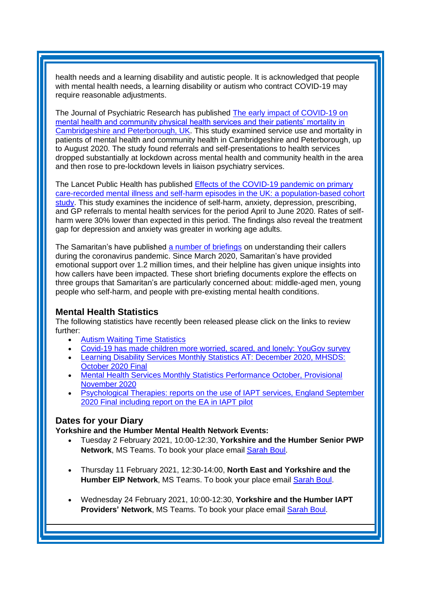health needs and a learning disability and autistic people. It is acknowledged that people with mental health needs, a learning disability or autism who contract COVID-19 may require reasonable adjustments.

The Journal of Psychiatric Research has published [The early impact](https://www.sciencedirect.com/science/article/abs/pii/S0022395620309845?via%3Dihub) of COVID-19 on [mental health and community physical health services and their patients' mortality in](https://www.sciencedirect.com/science/article/abs/pii/S0022395620309845?via%3Dihub)  [Cambridgeshire and Peterborough, UK.](https://www.sciencedirect.com/science/article/abs/pii/S0022395620309845?via%3Dihub) This study examined service use and mortality in patients of mental health and community health in Cambridgeshire and Peterborough, up to August 2020. The study found referrals and self-presentations to health services dropped substantially at lockdown across mental health and community health in the area and then rose to pre-lockdown levels in liaison psychiatry services.

The Lancet Public Health has published [Effects of the COVID-19 pandemic on primary](https://www.thelancet.com/journals/lanpub/article/PIIS2468-2667(20)30288-7/fulltext)  [care-recorded mental illness and self-harm episodes in the UK: a population-based cohort](https://www.thelancet.com/journals/lanpub/article/PIIS2468-2667(20)30288-7/fulltext)  [study.](https://www.thelancet.com/journals/lanpub/article/PIIS2468-2667(20)30288-7/fulltext) This study examines the incidence of self-harm, anxiety, depression, prescribing, and GP referrals to mental health services for the period April to June 2020. Rates of selfharm were 30% lower than expected in this period. The findings also reveal the treatment gap for depression and anxiety was greater in working age adults.

The Samaritan's have published [a number of briefings](https://www.samaritans.org/about-samaritans/research-policy/understanding-our-callers-during-covid-19-pandemic/) on understanding their callers during the coronavirus pandemic. Since March 2020, Samaritan's have provided emotional support over 1.2 million times, and their helpline has given unique insights into how callers have been impacted. These short briefing documents explore the effects on three groups that Samaritan's are particularly concerned about: middle-aged men, young people who self-harm, and people with pre-existing mental health conditions.

#### <span id="page-4-0"></span>**Mental Health Statistics**

The following statistics have recently been released please click on the links to review further:

- [Autism Waiting Time Statistics](https://digital.nhs.uk/data-and-information/publications/statistical/autism-statistics?_cldee=c2FyYWguYm91bEBuaHMubmV0&recipientid=contact-01a4f334c235e911a9e5000d3a2bbda1-22e514144b004d90ad4fdc255e26add9&esid=d1818007-3a44-eb11-a812-0022480076d0)
- [Covid-19 has made children more worried, scared, and lonely: YouGov survey](https://kingsfundmail.org.uk/21A8-774TA-FLWT3F-4BGVMN-1/c.aspx)
- [Learning Disability Services Monthly Statistics AT: December 2020, MHSDS:](https://digital.nhs.uk/data-and-information/publications/statistical/learning-disability-services-statistics/at-december-2020-mhsds-october-2020-final)  [October 2020 Final](https://digital.nhs.uk/data-and-information/publications/statistical/learning-disability-services-statistics/at-december-2020-mhsds-october-2020-final)
- [Mental Health Services Monthly Statistics Performance October, Provisional](https://digital.nhs.uk/data-and-information/publications/statistical/mental-health-services-monthly-statistics/performance-october-provisional-november-2020)  [November 2020](https://digital.nhs.uk/data-and-information/publications/statistical/mental-health-services-monthly-statistics/performance-october-provisional-november-2020)
- [Psychological Therapies: reports on the use of IAPT services, England September](https://digital.nhs.uk/data-and-information/publications/statistical/psychological-therapies-report-on-the-use-of-iapt-services/september-2020-final-including-a-report-on-the-iapt-employment-advisors-pilot)  [2020 Final including report on the EA in IAPT pilot](https://digital.nhs.uk/data-and-information/publications/statistical/psychological-therapies-report-on-the-use-of-iapt-services/september-2020-final-including-a-report-on-the-iapt-employment-advisors-pilot)

# <span id="page-4-1"></span>**Dates for your Diary**

**Yorkshire and the Humber Mental Health Network Events:**

- Tuesday 2 February 2021, 10:00-12:30, **Yorkshire and the Humber Senior PWP Network**, MS Teams. To book your place email [Sarah Boul.](mailto:sarah.boul@nhs.net)
- Thursday 11 February 2021, 12:30-14:00, **North East and Yorkshire and the Humber EIP Network**, MS Teams. To book your place email [Sarah Boul.](mailto:sarah.boul@nhs.net)
- Wednesday 24 February 2021, 10:00-12:30, **Yorkshire and the Humber IAPT Providers' Network**, MS Teams. To book your place email [Sarah Boul.](mailto:sarah.boul@nhs.net)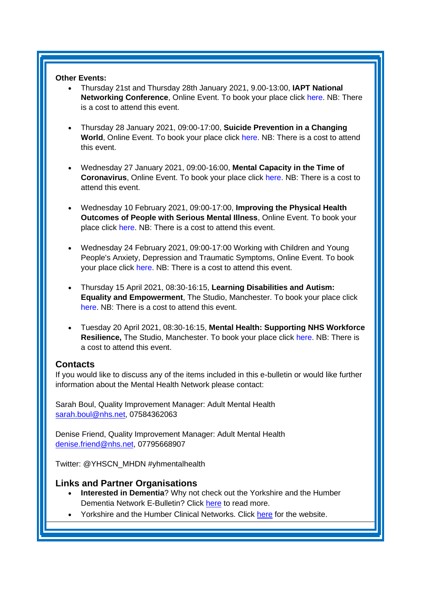#### **Other Events:**

- Thursday 21st and Thursday 28th January 2021, 9.00-13:00, **IAPT National Networking Conference**, Online Event. To book your place click [here.](https://www.iapt-nnf.co.uk/booking/index/191/?utm_source=SBK%20Healthcare&utm_medium=email&utm_campaign=11875628_2021PT%201st%20email&dm_i=1SB0,72JAK,MCTTTA,SJWEF,1) NB: There is a cost to attend this event.
- Thursday 28 January 2021, 09:00-17:00, **Suicide Prevention in a Changing World**, Online Event. To book your place click [here.](https://www.nspa.org.uk/home/news-events/nspa-conference-2021/) NB: There is a cost to attend this event.
- Wednesday 27 January 2021, 09:00-16:00, **Mental Capacity in the Time of Coronavirus**, Online Event. To book your place click [here.](https://www.healthcareconferencesuk.co.uk/conferences-masterclasses/mental-capacity-coronavirus?utm_medium=email&utm_source=HCUKKH&utm_campaign=MCAvMCJuly2020) NB: There is a cost to attend this event.
- Wednesday 10 February 2021, 09:00-17:00, **Improving the Physical Health Outcomes of People with Serious Mental Illness**, Online Event. To book your place click [here.](https://www.healthcareconferencesuk.co.uk/conferences-masterclasses/physical-health-with-serious-mental-illness/book/virtual-online-2021-2-10?utm_medium=email&utm_source=HCUKNM&utm_campaign=PhysicalMH100221) NB: There is a cost to attend this event.
- Wednesday 24 February 2021, 09:00-17:00 Working with Children and Young People's Anxiety, Depression and Traumatic Symptoms, Online Event. To book your place click [here.](https://www.healthcareconferencesuk.co.uk/conferences-masterclasses/cyp-depression-modular-approach?utm_medium=email&utm_source=HCUKkt&utm_campaign=CYPDep0221) NB: There is a cost to attend this event.
- Thursday 15 April 2021, 08:30-16:15, **Learning Disabilities and Autism: Equality and Empowerment**, The Studio, Manchester. To book your place click [here.](https://www.openforumevents.co.uk/events/2021/learning-disabilities-and-autism-equality-and-empowerment/?utm_source=LD+OC+30.10&utm_medium=email&utm_campaign=LD+2021+Wk+1) NB: There is a cost to attend this event.
- Tuesday 20 April 2021, 08:30-16:15, **Mental Health: Supporting NHS Workforce Resilience,** The Studio, Manchester. To book your place click [here.](https://www.openforumevents.co.uk/events/2021/mental-health-supporting-nhs-workforce-resilience/?utm_source=MHWF+2021+Wk+1+4+NHS+05.11&utm_medium=email&utm_campaign=MHWF+2021+Wk+1) NB: There is a cost to attend this event.

#### <span id="page-5-0"></span>**Contacts**

If you would like to discuss any of the items included in this e-bulletin or would like further information about the Mental Health Network please contact:

Sarah Boul, Quality Improvement Manager: Adult Mental Health [sarah.boul@nhs.net,](mailto:sarah.boul@nhs.net) 07584362063

Denise Friend, Quality Improvement Manager: Adult Mental Health denise.friend@nhs.net, 07795668907

Twitter: @YHSCN\_MHDN #yhmentalhealth

#### <span id="page-5-1"></span>**Links and Partner Organisations**

- **Interested in Dementia**? Why not check out the Yorkshire and the Humber Dementia Network E-Bulletin? Click [here](http://www.yhscn.nhs.uk/mental-health-clinic/Dementia/YHSCNDementiaBulletin.php) to read more.
- Yorkshire and the Humber Clinical Networks. Click [here](http://www.yhscn.nhs.uk/index.php) for the website.